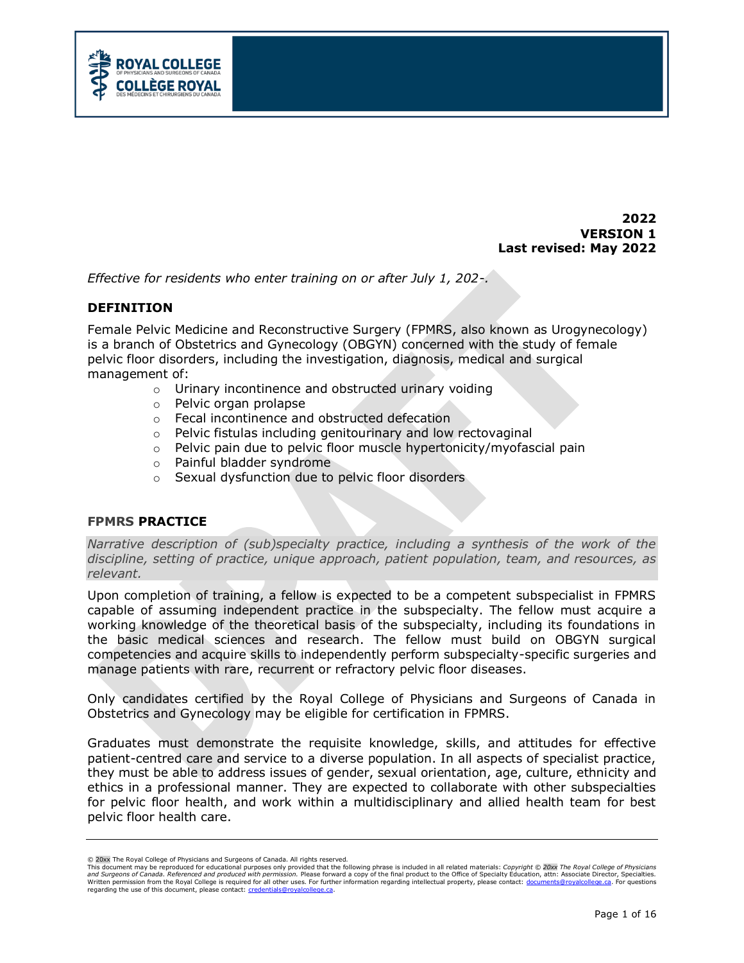

**2022 VERSION 1 Last revised: May 2022**

*Effective for residents who enter training on or after July 1, 202-.*

### **DEFINITION**

Female Pelvic Medicine and Reconstructive Surgery (FPMRS, also known as Urogynecology) is a branch of Obstetrics and Gynecology (OBGYN) concerned with the study of female pelvic floor disorders, including the investigation, diagnosis, medical and surgical management of:

- o Urinary incontinence and obstructed urinary voiding
- o Pelvic organ prolapse
- o Fecal incontinence and obstructed defecation
- o Pelvic fistulas including genitourinary and low rectovaginal
- o Pelvic pain due to pelvic floor muscle hypertonicity/myofascial pain
- o Painful bladder syndrome
- o Sexual dysfunction due to pelvic floor disorders

## **FPMRS PRACTICE**

*Narrative description of (sub)specialty practice, including a synthesis of the work of the discipline, setting of practice, unique approach, patient population, team, and resources, as relevant.*

Upon completion of training, a fellow is expected to be a competent subspecialist in FPMRS capable of assuming independent practice in the subspecialty. The fellow must acquire a working knowledge of the theoretical basis of the subspecialty, including its foundations in the basic medical sciences and research. The fellow must build on OBGYN surgical competencies and acquire skills to independently perform subspecialty-specific surgeries and manage patients with rare, recurrent or refractory pelvic floor diseases.

Only candidates certified by the Royal College of Physicians and Surgeons of Canada in Obstetrics and Gynecology may be eligible for certification in FPMRS.

Graduates must demonstrate the requisite knowledge, skills, and attitudes for effective patient-centred care and service to a diverse population. In all aspects of specialist practice, they must be able to address issues of gender, sexual orientation, age, culture, ethnicity and ethics in a professional manner. They are expected to collaborate with other subspecialties for pelvic floor health, and work within a multidisciplinary and allied health team for best pelvic floor health care.

<sup>© 20</sup>xx The Royal College of Physicians and Surgeons of Canada. All rights reserved.

This document may be reproduced for educational purposes only provided that the following phrase is included in all related materials: *Copyright © 20xx The Royal College of Physicians and Surgeons of Canada. Referenced and produced with permission.* Please forward a copy of the final product to the Office of Specialty Education, attn: Associate Director, Specialties.<br>Written permission from the Royal C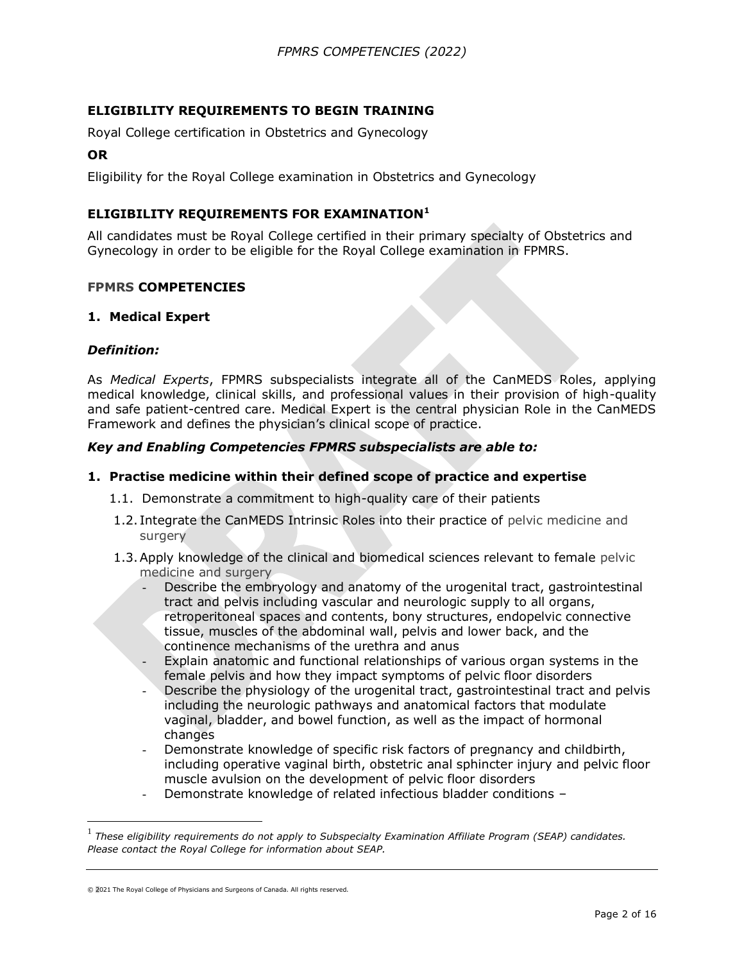# **ELIGIBILITY REQUIREMENTS TO BEGIN TRAINING**

Royal College certification in Obstetrics and Gynecology

#### **OR**

Eligibility for the Royal College examination in Obstetrics and Gynecology

## **ELIGIBILITY REQUIREMENTS FOR EXAMINATION<sup>1</sup>**

All candidates must be Royal College certified in their primary specialty of Obstetrics and Gynecology in order to be eligible for the Royal College examination in FPMRS.

#### **FPMRS COMPETENCIES**

#### **1. Medical Expert**

#### *Definition:*

As *Medical Experts*, FPMRS subspecialists integrate all of the CanMEDS Roles, applying medical knowledge, clinical skills, and professional values in their provision of high-quality and safe patient-centred care. Medical Expert is the central physician Role in the CanMEDS Framework and defines the physician's clinical scope of practice.

### *Key and Enabling Competencies FPMRS subspecialists are able to:*

#### **1. Practise medicine within their defined scope of practice and expertise**

- 1.1. Demonstrate a commitment to high-quality care of their patients
- 1.2. Integrate the CanMEDS Intrinsic Roles into their practice of pelvic medicine and surgery
- 1.3.Apply knowledge of the clinical and biomedical sciences relevant to female pelvic medicine and surgery
	- Describe the embryology and anatomy of the urogenital tract, gastrointestinal tract and pelvis including vascular and neurologic supply to all organs, retroperitoneal spaces and contents, bony structures, endopelvic connective tissue, muscles of the abdominal wall, pelvis and lower back, and the continence mechanisms of the urethra and anus
	- Explain anatomic and functional relationships of various organ systems in the female pelvis and how they impact symptoms of pelvic floor disorders
	- Describe the physiology of the urogenital tract, gastrointestinal tract and pelvis including the neurologic pathways and anatomical factors that modulate vaginal, bladder, and bowel function, as well as the impact of hormonal changes
	- Demonstrate knowledge of specific risk factors of pregnancy and childbirth, including operative vaginal birth, obstetric anal sphincter injury and pelvic floor muscle avulsion on the development of pelvic floor disorders
	- Demonstrate knowledge of related infectious bladder conditions –

© 2021 The Royal College of Physicians and Surgeons of Canada. All rights reserved.

<sup>&</sup>lt;sup>1</sup> These eligibility requirements do not apply to Subspecialty Examination Affiliate Program (SEAP) candidates. *Please contact the Royal College for information about SEAP.*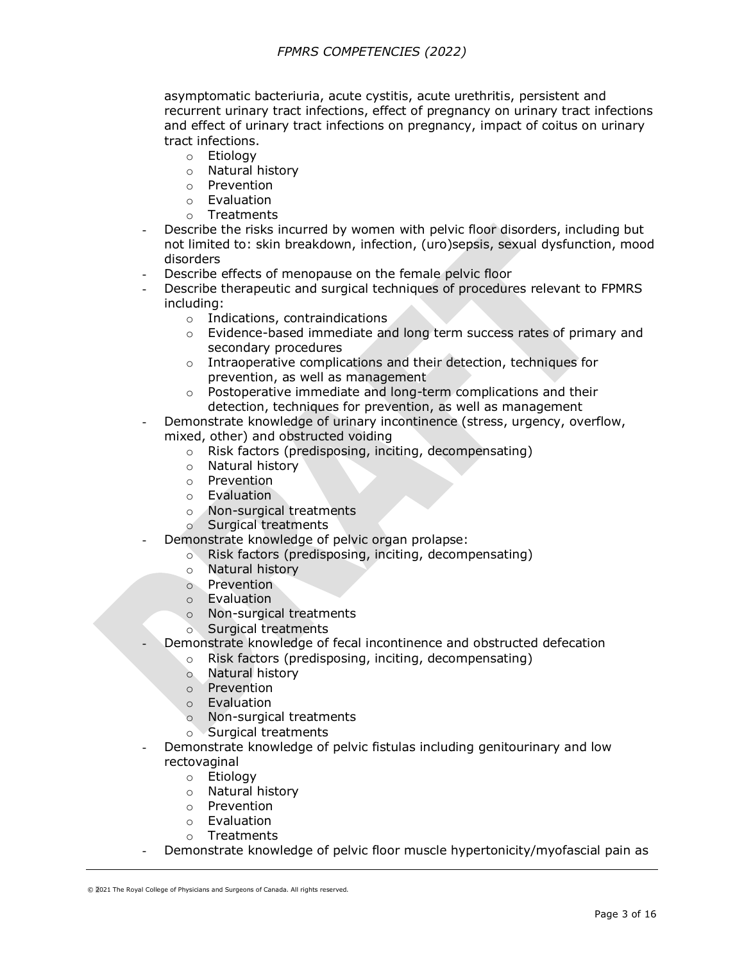asymptomatic bacteriuria, acute cystitis, acute urethritis, persistent and recurrent urinary tract infections, effect of pregnancy on urinary tract infections and effect of urinary tract infections on pregnancy, impact of coitus on urinary tract infections.

- o Etiology
- o Natural history
- o Prevention
- o Evaluation
- o Treatments
- Describe the risks incurred by women with pelvic floor disorders, including but not limited to: skin breakdown, infection, (uro)sepsis, sexual dysfunction, mood disorders
- Describe effects of menopause on the female pelvic floor
- Describe therapeutic and surgical techniques of procedures relevant to FPMRS including:
	- o Indications, contraindications
	- $\circ$  Evidence-based immediate and long term success rates of primary and secondary procedures
	- o Intraoperative complications and their detection, techniques for prevention, as well as management
	- $\circ$  Postoperative immediate and long-term complications and their detection, techniques for prevention, as well as management
	- Demonstrate knowledge of urinary incontinence (stress, urgency, overflow,
	- mixed, other) and obstructed voiding
		- o Risk factors (predisposing, inciting, decompensating)
		- o Natural history
		- o Prevention
		- o Evaluation
		- o Non-surgical treatments
		- o Surgical treatments
	- Demonstrate knowledge of pelvic organ prolapse:
		- o Risk factors (predisposing, inciting, decompensating)
			- o Natural history
			- o Prevention
			- o Evaluation
			- o Non-surgical treatments
			- o Surgical treatments
- Demonstrate knowledge of fecal incontinence and obstructed defecation
	- o Risk factors (predisposing, inciting, decompensating)
	- o Natural history
	- o Prevention
	- o Evaluation
	- o Non-surgical treatments
	- o Surgical treatments
- Demonstrate knowledge of pelvic fistulas including genitourinary and low rectovaginal
	- o Etiology
	- o Natural history
	- o Prevention
	- o Evaluation
	- o Treatments
- Demonstrate knowledge of pelvic floor muscle hypertonicity/myofascial pain as

<sup>© 2021</sup> The Royal College of Physicians and Surgeons of Canada. All rights reserved.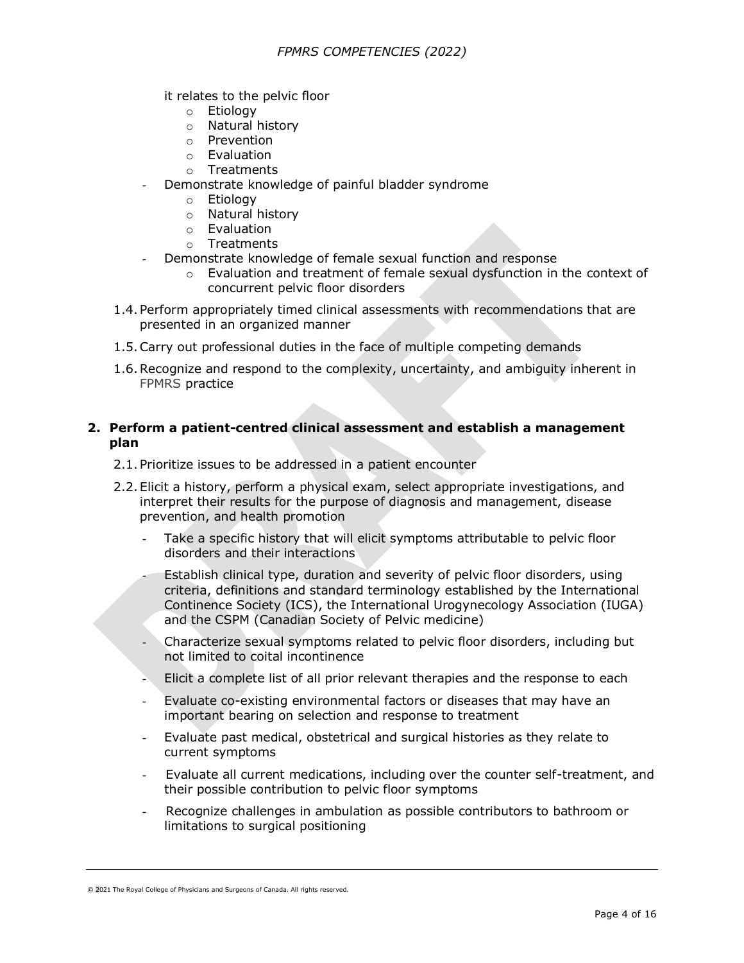it relates to the pelvic floor

- o Etiology
- o Natural history
- o Prevention
- o Evaluation
- o Treatments
- Demonstrate knowledge of painful bladder syndrome
	- o Etiology
	- o Natural history
	- o Evaluation
	- o Treatments
	- Demonstrate knowledge of female sexual function and response
		- $\circ$  Evaluation and treatment of female sexual dysfunction in the context of concurrent pelvic floor disorders
- 1.4.Perform appropriately timed clinical assessments with recommendations that are presented in an organized manner
- 1.5.Carry out professional duties in the face of multiple competing demands
- 1.6.Recognize and respond to the complexity, uncertainty, and ambiguity inherent in FPMRS practice

## **2. Perform a patient-centred clinical assessment and establish a management plan**

- 2.1.Prioritize issues to be addressed in a patient encounter
- 2.2.Elicit a history, perform a physical exam, select appropriate investigations, and interpret their results for the purpose of diagnosis and management, disease prevention, and health promotion
	- Take a specific history that will elicit symptoms attributable to pelvic floor disorders and their interactions
	- Establish clinical type, duration and severity of pelvic floor disorders, using criteria, definitions and standard terminology established by the International Continence Society (ICS), the International Urogynecology Association (IUGA) and the CSPM (Canadian Society of Pelvic medicine)
	- Characterize sexual symptoms related to pelvic floor disorders, including but not limited to coital incontinence
	- Elicit a complete list of all prior relevant therapies and the response to each
	- Evaluate co-existing environmental factors or diseases that may have an important bearing on selection and response to treatment
	- Evaluate past medical, obstetrical and surgical histories as they relate to current symptoms
	- Evaluate all current medications, including over the counter self-treatment, and their possible contribution to pelvic floor symptoms
	- Recognize challenges in ambulation as possible contributors to bathroom or limitations to surgical positioning

<sup>© 2021</sup> The Royal College of Physicians and Surgeons of Canada. All rights reserved.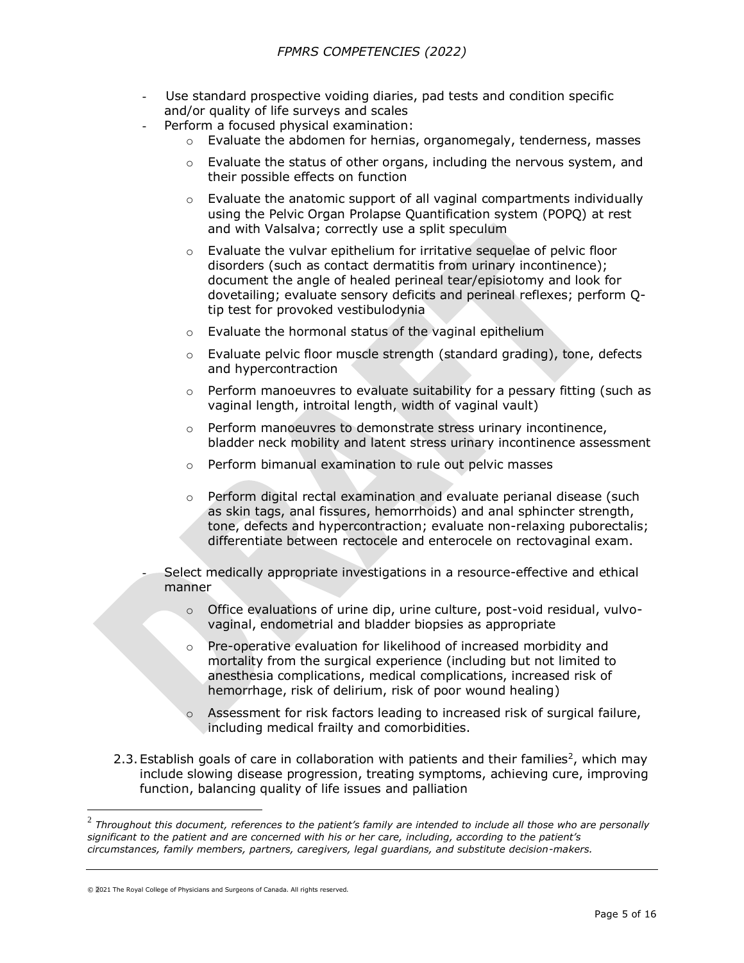- Use standard prospective voiding diaries, pad tests and condition specific and/or quality of life surveys and scales
- Perform a focused physical examination:
	- $\circ$  Evaluate the abdomen for hernias, organomegaly, tenderness, masses
	- $\circ$  Evaluate the status of other organs, including the nervous system, and their possible effects on function
	- $\circ$  Evaluate the anatomic support of all vaginal compartments individually using the Pelvic Organ Prolapse Quantification system (POPQ) at rest and with Valsalva; correctly use a split speculum
	- $\circ$  Evaluate the vulvar epithelium for irritative sequelae of pelvic floor disorders (such as contact dermatitis from urinary incontinence); document the angle of healed perineal tear/episiotomy and look for dovetailing; evaluate sensory deficits and perineal reflexes; perform Qtip test for provoked vestibulodynia
	- o Evaluate the hormonal status of the vaginal epithelium
	- o Evaluate pelvic floor muscle strength (standard grading), tone, defects and hypercontraction
	- $\circ$  Perform manoeuvres to evaluate suitability for a pessary fitting (such as vaginal length, introital length, width of vaginal vault)
	- o Perform manoeuvres to demonstrate stress urinary incontinence, bladder neck mobility and latent stress urinary incontinence assessment
	- o Perform bimanual examination to rule out pelvic masses
	- o Perform digital rectal examination and evaluate perianal disease (such as skin tags, anal fissures, hemorrhoids) and anal sphincter strength, tone, defects and hypercontraction; evaluate non-relaxing puborectalis; differentiate between rectocele and enterocele on rectovaginal exam.
	- Select medically appropriate investigations in a resource-effective and ethical manner
		- $\circ$  Office evaluations of urine dip, urine culture, post-void residual, vulvovaginal, endometrial and bladder biopsies as appropriate
		- o Pre-operative evaluation for likelihood of increased morbidity and mortality from the surgical experience (including but not limited to anesthesia complications, medical complications, increased risk of hemorrhage, risk of delirium, risk of poor wound healing)
		- $\circ$  Assessment for risk factors leading to increased risk of surgical failure, including medical frailty and comorbidities.
- 2.3. Establish goals of care in collaboration with patients and their families<sup>2</sup>, which may include slowing disease progression, treating symptoms, achieving cure, improving function, balancing quality of life issues and palliation

<sup>2</sup> *Throughout this document, references to the patient's family are intended to include all those who are personally significant to the patient and are concerned with his or her care, including, according to the patient's circumstances, family members, partners, caregivers, legal guardians, and substitute decision-makers.*

<sup>© 2021</sup> The Royal College of Physicians and Surgeons of Canada. All rights reserved.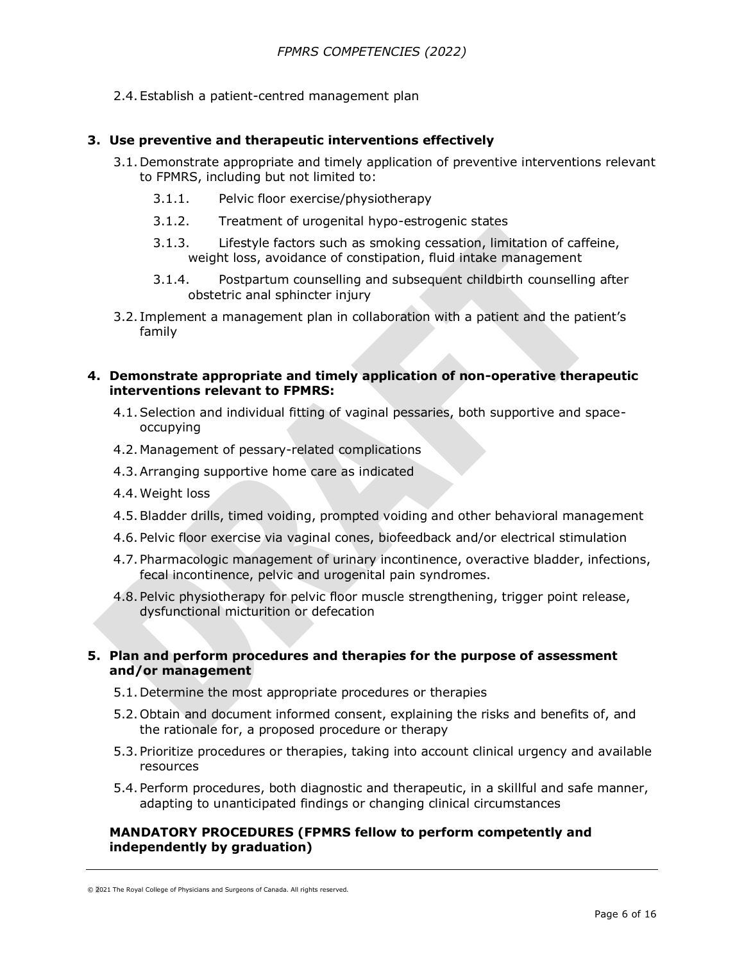2.4.Establish a patient-centred management plan

## **3. Use preventive and therapeutic interventions effectively**

- 3.1.Demonstrate appropriate and timely application of preventive interventions relevant to FPMRS, including but not limited to:
	- 3.1.1. Pelvic floor exercise/physiotherapy
	- 3.1.2. Treatment of urogenital hypo-estrogenic states
	- 3.1.3. Lifestyle factors such as smoking cessation, limitation of caffeine, weight loss, avoidance of constipation, fluid intake management
	- 3.1.4. Postpartum counselling and subsequent childbirth counselling after obstetric anal sphincter injury
- 3.2. Implement a management plan in collaboration with a patient and the patient's family

## **4. Demonstrate appropriate and timely application of non-operative therapeutic interventions relevant to FPMRS:**

- 4.1.Selection and individual fitting of vaginal pessaries, both supportive and spaceoccupying
- 4.2.Management of pessary-related complications
- 4.3.Arranging supportive home care as indicated
- 4.4.Weight loss
- 4.5.Bladder drills, timed voiding, prompted voiding and other behavioral management
- 4.6.Pelvic floor exercise via vaginal cones, biofeedback and/or electrical stimulation
- 4.7.Pharmacologic management of urinary incontinence, overactive bladder, infections, fecal incontinence, pelvic and urogenital pain syndromes.
- 4.8.Pelvic physiotherapy for pelvic floor muscle strengthening, trigger point release, dysfunctional micturition or defecation

### **5. Plan and perform procedures and therapies for the purpose of assessment and/or management**

- 5.1.Determine the most appropriate procedures or therapies
- 5.2.Obtain and document informed consent, explaining the risks and benefits of, and the rationale for, a proposed procedure or therapy
- 5.3.Prioritize procedures or therapies, taking into account clinical urgency and available resources
- 5.4.Perform procedures, both diagnostic and therapeutic, in a skillful and safe manner, adapting to unanticipated findings or changing clinical circumstances

## **MANDATORY PROCEDURES (FPMRS fellow to perform competently and independently by graduation)**

<sup>© 2021</sup> The Royal College of Physicians and Surgeons of Canada. All rights reserved.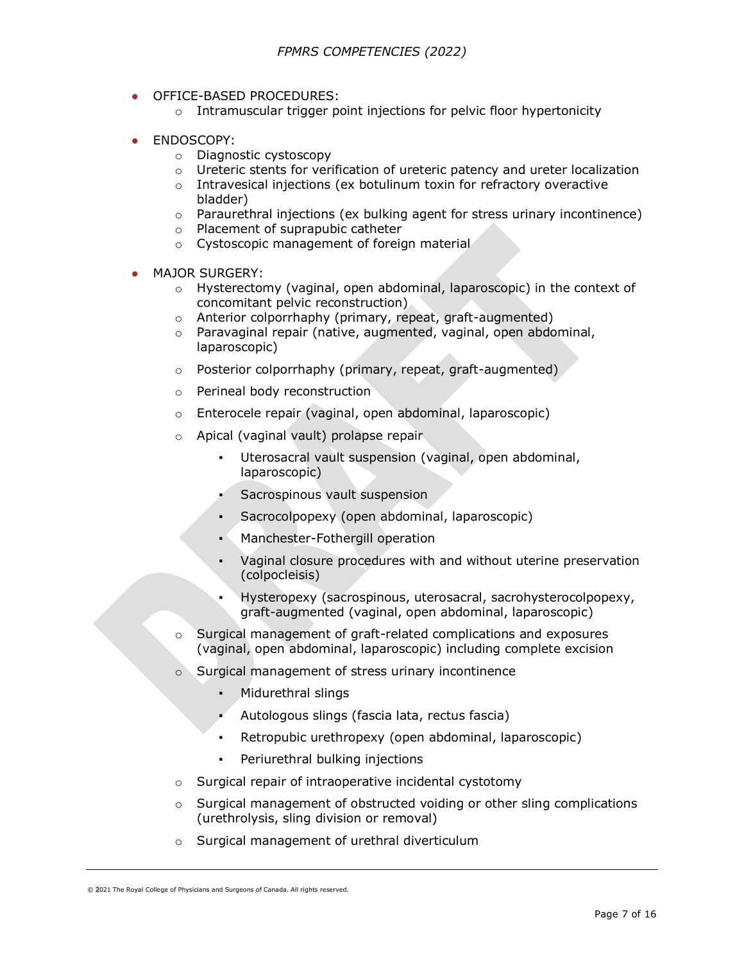- OFFICE-BASED PROCEDURES:
	- $\circ$  Intramuscular trigger point injections for pelvic floor hypertonicity
- ENDOSCOPY:
	- o Diagnostic cystoscopy
	- $\circ$  Ureteric stents for verification of ureteric patency and ureter localization
	- o Intravesical injections (ex botulinum toxin for refractory overactive bladder)
	- $\circ$  Paraurethral injections (ex bulking agent for stress urinary incontinence)
	- o Placement of suprapubic catheter
	- o Cystoscopic management of foreign material
- MAJOR SURGERY:
	- $\circ$  Hysterectomy (vaginal, open abdominal, laparoscopic) in the context of concomitant pelvic reconstruction)
	- o Anterior colporrhaphy (primary, repeat, graft-augmented)
	- o Paravaginal repair (native, augmented, vaginal, open abdominal, laparoscopic)
	- o Posterior colporrhaphy (primary, repeat, graft-augmented)
	- o Perineal body reconstruction
	- o Enterocele repair (vaginal, open abdominal, laparoscopic)
	- o Apical (vaginal vault) prolapse repair
		- Uterosacral vault suspension (vaginal, open abdominal, laparoscopic)
		- Sacrospinous vault suspension
		- Sacrocolpopexy (open abdominal, laparoscopic)
		- Manchester-Fothergill operation
		- Vaginal closure procedures with and without uterine preservation (colpocleisis)
		- Hysteropexy (sacrospinous, uterosacral, sacrohysterocolpopexy, graft-augmented (vaginal, open abdominal, laparoscopic)
	- o Surgical management of graft-related complications and exposures (vaginal, open abdominal, laparoscopic) including complete excision
	- Surgical management of stress urinary incontinence
		- Midurethral slings
		- Autologous slings (fascia lata, rectus fascia)
		- Retropubic urethropexy (open abdominal, laparoscopic)
		- Periurethral bulking injections
	- o Surgical repair of intraoperative incidental cystotomy
	- $\circ$  Surgical management of obstructed voiding or other sling complications (urethrolysis, sling division or removal)
	- o Surgical management of urethral diverticulum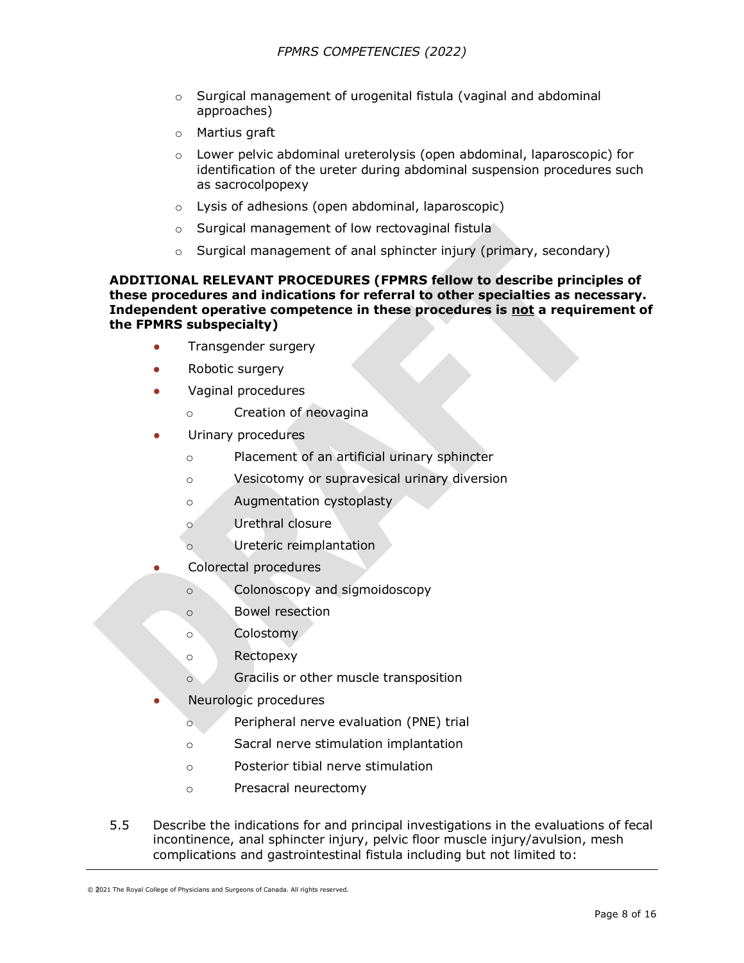- $\circ$  Surgical management of urogenital fistula (vaginal and abdominal approaches)
- o Martius graft
- o Lower pelvic abdominal ureterolysis (open abdominal, laparoscopic) for identification of the ureter during abdominal suspension procedures such as sacrocolpopexy
- o Lysis of adhesions (open abdominal, laparoscopic)
- o Surgical management of low rectovaginal fistula
- $\circ$  Surgical management of anal sphincter injury (primary, secondary)

### **ADDITIONAL RELEVANT PROCEDURES (FPMRS fellow to describe principles of these procedures and indications for referral to other specialties as necessary. Independent operative competence in these procedures is not a requirement of the FPMRS subspecialty)**

- Transgender surgery
- Robotic surgery
- Vaginal procedures
	- o Creation of neovagina
- Urinary procedures
	- o Placement of an artificial urinary sphincter
	- o Vesicotomy or supravesical urinary diversion
	- o Augmentation cystoplasty
	- o Urethral closure
	- o Ureteric reimplantation
- Colorectal procedures
	- o Colonoscopy and sigmoidoscopy
	- o Bowel resection
	- o Colostomy
	- o Rectopexy
	- o Gracilis or other muscle transposition
- Neurologic procedures
	- o Peripheral nerve evaluation (PNE) trial
	- o Sacral nerve stimulation implantation
	- o Posterior tibial nerve stimulation
	- o Presacral neurectomy
- 5.5 Describe the indications for and principal investigations in the evaluations of fecal incontinence, anal sphincter injury, pelvic floor muscle injury/avulsion, mesh complications and gastrointestinal fistula including but not limited to:

<sup>© 2021</sup> The Royal College of Physicians and Surgeons of Canada. All rights reserved.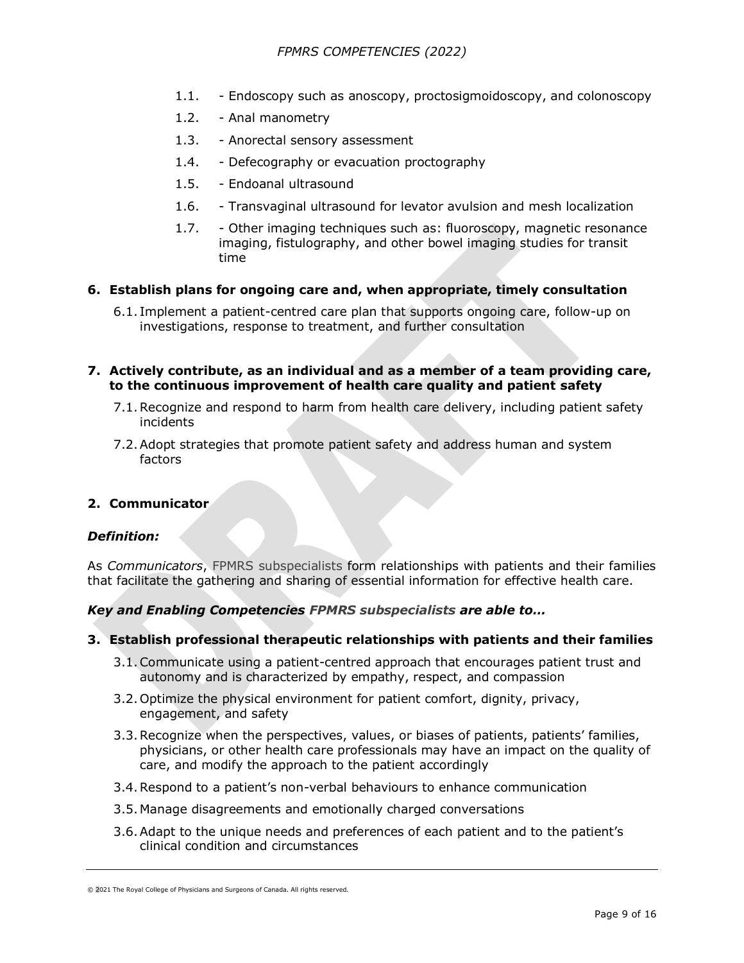- 1.1. Endoscopy such as anoscopy, proctosigmoidoscopy, and colonoscopy
- 1.2. Anal manometry
- 1.3. Anorectal sensory assessment
- 1.4. Defecography or evacuation proctography
- 1.5. Endoanal ultrasound
- 1.6. Transvaginal ultrasound for levator avulsion and mesh localization
- 1.7. Other imaging techniques such as: fluoroscopy, magnetic resonance imaging, fistulography, and other bowel imaging studies for transit time

## **6. Establish plans for ongoing care and, when appropriate, timely consultation**

6.1. Implement a patient-centred care plan that supports ongoing care, follow-up on investigations, response to treatment, and further consultation

## **7. Actively contribute, as an individual and as a member of a team providing care, to the continuous improvement of health care quality and patient safety**

- 7.1.Recognize and respond to harm from health care delivery, including patient safety incidents
- 7.2.Adopt strategies that promote patient safety and address human and system factors

### **2. Communicator**

### *Definition:*

As *Communicators*, FPMRS subspecialists form relationships with patients and their families that facilitate the gathering and sharing of essential information for effective health care.

### *Key and Enabling Competencies FPMRS subspecialists are able to…*

### **3. Establish professional therapeutic relationships with patients and their families**

- 3.1.Communicate using a patient-centred approach that encourages patient trust and autonomy and is characterized by empathy, respect, and compassion
- 3.2.Optimize the physical environment for patient comfort, dignity, privacy, engagement, and safety
- 3.3.Recognize when the perspectives, values, or biases of patients, patients' families, physicians, or other health care professionals may have an impact on the quality of care, and modify the approach to the patient accordingly
- 3.4.Respond to a patient's non-verbal behaviours to enhance communication
- 3.5.Manage disagreements and emotionally charged conversations
- 3.6.Adapt to the unique needs and preferences of each patient and to the patient's clinical condition and circumstances

<sup>© 2021</sup> The Royal College of Physicians and Surgeons of Canada. All rights reserved.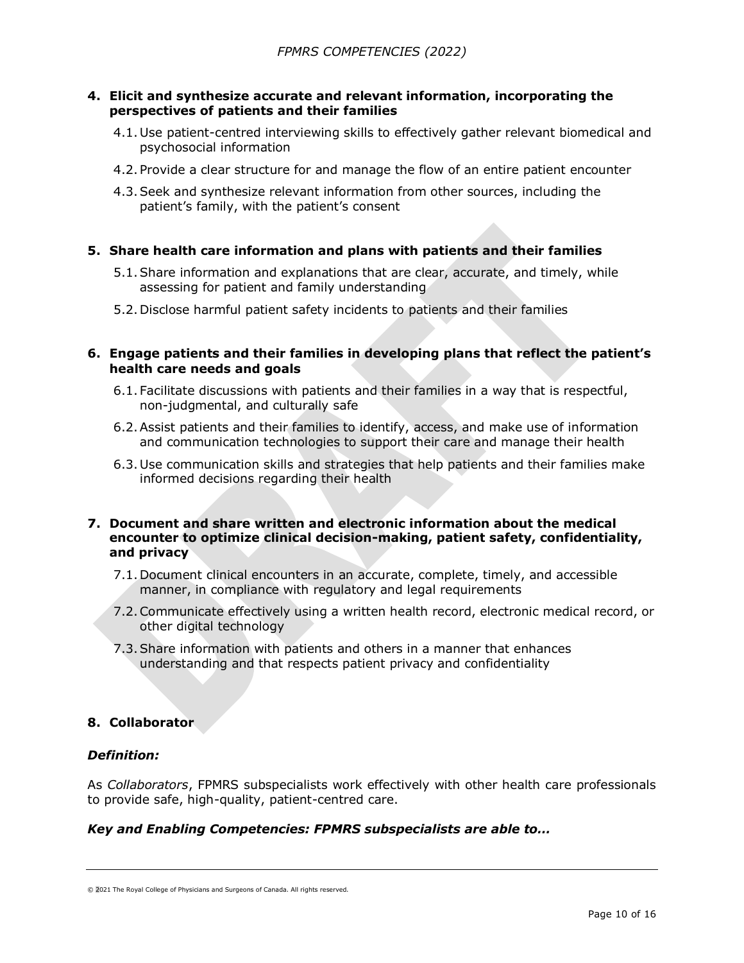### **4. Elicit and synthesize accurate and relevant information, incorporating the perspectives of patients and their families**

- 4.1.Use patient-centred interviewing skills to effectively gather relevant biomedical and psychosocial information
- 4.2.Provide a clear structure for and manage the flow of an entire patient encounter
- 4.3.Seek and synthesize relevant information from other sources, including the patient's family, with the patient's consent

### **5. Share health care information and plans with patients and their families**

- 5.1.Share information and explanations that are clear, accurate, and timely, while assessing for patient and family understanding
- 5.2.Disclose harmful patient safety incidents to patients and their families

## **6. Engage patients and their families in developing plans that reflect the patient's health care needs and goals**

- 6.1.Facilitate discussions with patients and their families in a way that is respectful, non-judgmental, and culturally safe
- 6.2.Assist patients and their families to identify, access, and make use of information and communication technologies to support their care and manage their health
- 6.3.Use communication skills and strategies that help patients and their families make informed decisions regarding their health

### **7. Document and share written and electronic information about the medical encounter to optimize clinical decision-making, patient safety, confidentiality, and privacy**

- 7.1.Document clinical encounters in an accurate, complete, timely, and accessible manner, in compliance with regulatory and legal requirements
- 7.2.Communicate effectively using a written health record, electronic medical record, or other digital technology
- 7.3.Share information with patients and others in a manner that enhances understanding and that respects patient privacy and confidentiality

### **8. Collaborator**

## *Definition:*

As *Collaborators*, FPMRS subspecialists work effectively with other health care professionals to provide safe, high-quality, patient-centred care.

## *Key and Enabling Competencies: FPMRS subspecialists are able to…*

<sup>© 2021</sup> The Royal College of Physicians and Surgeons of Canada. All rights reserved.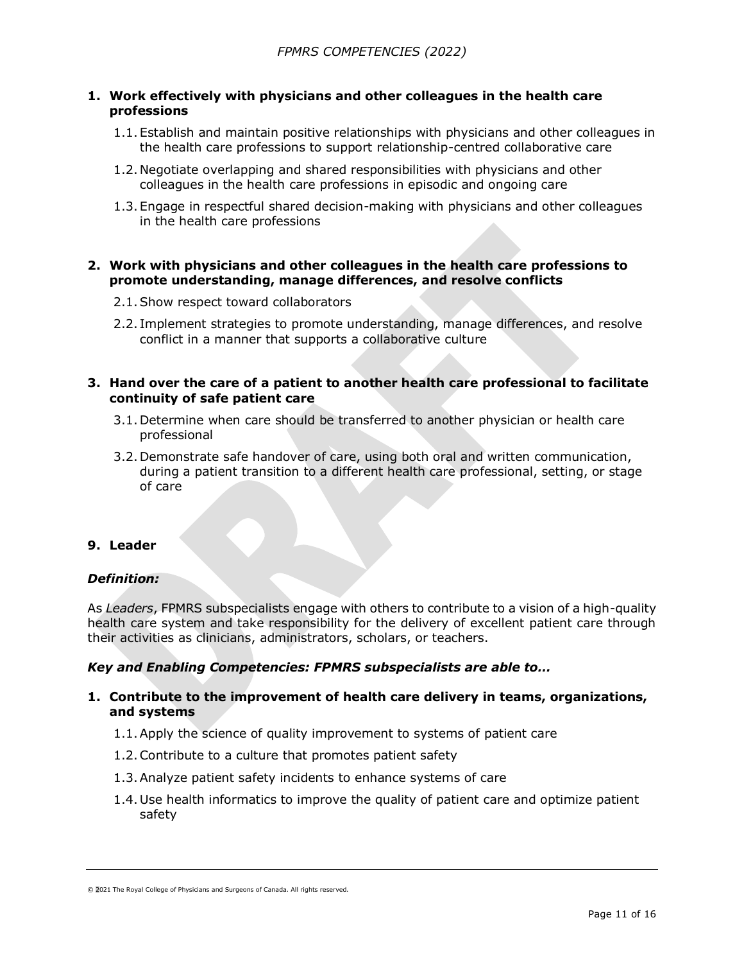## **1. Work effectively with physicians and other colleagues in the health care professions**

- 1.1.Establish and maintain positive relationships with physicians and other colleagues in the health care professions to support relationship-centred collaborative care
- 1.2.Negotiate overlapping and shared responsibilities with physicians and other colleagues in the health care professions in episodic and ongoing care
- 1.3.Engage in respectful shared decision-making with physicians and other colleagues in the health care professions

### **2. Work with physicians and other colleagues in the health care professions to promote understanding, manage differences, and resolve conflicts**

- 2.1.Show respect toward collaborators
- 2.2. Implement strategies to promote understanding, manage differences, and resolve conflict in a manner that supports a collaborative culture

#### **3. Hand over the care of a patient to another health care professional to facilitate continuity of safe patient care**

- 3.1.Determine when care should be transferred to another physician or health care professional
- 3.2.Demonstrate safe handover of care, using both oral and written communication, during a patient transition to a different health care professional, setting, or stage of care

# **9. Leader**

### *Definition:*

As *Leaders*, FPMRS subspecialists engage with others to contribute to a vision of a high-quality health care system and take responsibility for the delivery of excellent patient care through their activities as clinicians, administrators, scholars, or teachers.

### *Key and Enabling Competencies: FPMRS subspecialists are able to…*

### **1. Contribute to the improvement of health care delivery in teams, organizations, and systems**

- 1.1.Apply the science of quality improvement to systems of patient care
- 1.2.Contribute to a culture that promotes patient safety
- 1.3.Analyze patient safety incidents to enhance systems of care
- 1.4.Use health informatics to improve the quality of patient care and optimize patient safety

<sup>© 2021</sup> The Royal College of Physicians and Surgeons of Canada. All rights reserved.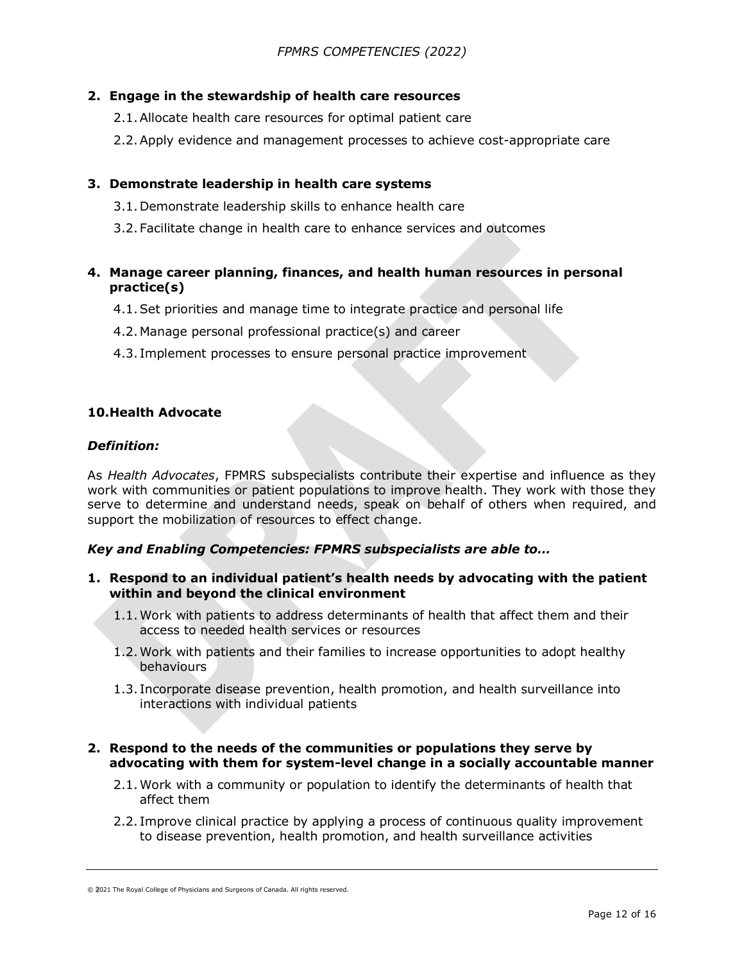## **2. Engage in the stewardship of health care resources**

- 2.1.Allocate health care resources for optimal patient care
- 2.2.Apply evidence and management processes to achieve cost-appropriate care

# **3. Demonstrate leadership in health care systems**

- 3.1.Demonstrate leadership skills to enhance health care
- 3.2.Facilitate change in health care to enhance services and outcomes

# **4. Manage career planning, finances, and health human resources in personal practice(s)**

- 4.1.Set priorities and manage time to integrate practice and personal life
- 4.2.Manage personal professional practice(s) and career
- 4.3. Implement processes to ensure personal practice improvement

## **10.Health Advocate**

### *Definition:*

As *Health Advocates*, FPMRS subspecialists contribute their expertise and influence as they work with communities or patient populations to improve health. They work with those they serve to determine and understand needs, speak on behalf of others when required, and support the mobilization of resources to effect change.

# *Key and Enabling Competencies: FPMRS subspecialists are able to…*

- **1. Respond to an individual patient's health needs by advocating with the patient within and beyond the clinical environment**
	- 1.1.Work with patients to address determinants of health that affect them and their access to needed health services or resources
	- 1.2.Work with patients and their families to increase opportunities to adopt healthy behaviours
	- 1.3. Incorporate disease prevention, health promotion, and health surveillance into interactions with individual patients

### **2. Respond to the needs of the communities or populations they serve by advocating with them for system-level change in a socially accountable manner**

- 2.1.Work with a community or population to identify the determinants of health that affect them
- 2.2. Improve clinical practice by applying a process of continuous quality improvement to disease prevention, health promotion, and health surveillance activities

<sup>© 2021</sup> The Royal College of Physicians and Surgeons of Canada. All rights reserved.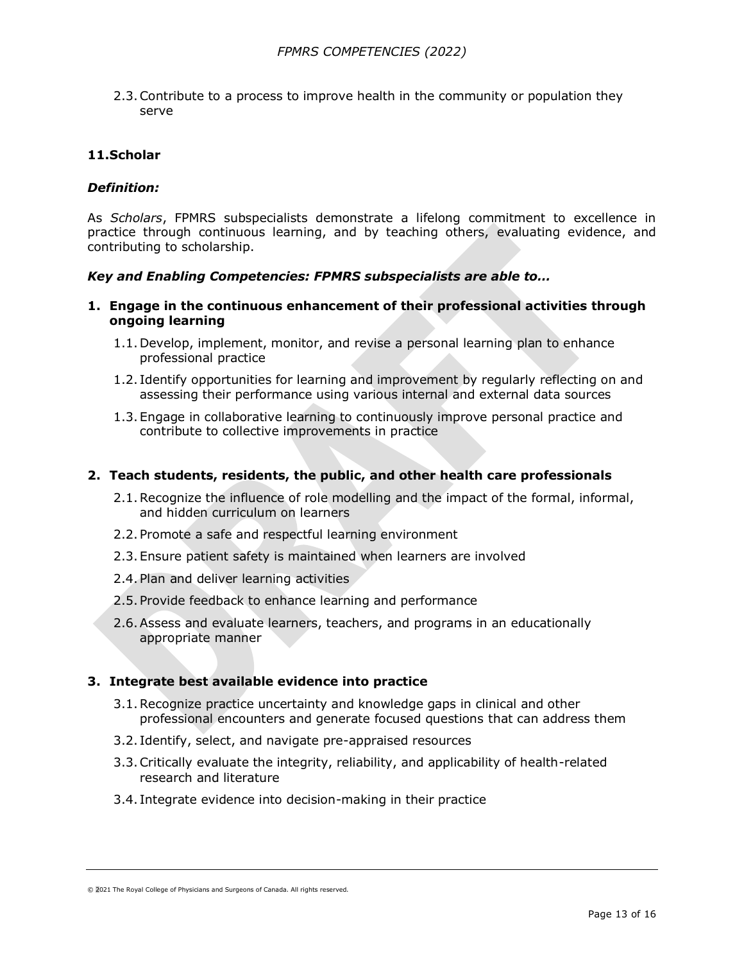2.3.Contribute to a process to improve health in the community or population they serve

#### **11.Scholar**

#### *Definition:*

As *Scholars*, FPMRS subspecialists demonstrate a lifelong commitment to excellence in practice through continuous learning, and by teaching others, evaluating evidence, and contributing to scholarship.

#### *Key and Enabling Competencies: FPMRS subspecialists are able to…*

#### **1. Engage in the continuous enhancement of their professional activities through ongoing learning**

- 1.1.Develop, implement, monitor, and revise a personal learning plan to enhance professional practice
- 1.2. Identify opportunities for learning and improvement by regularly reflecting on and assessing their performance using various internal and external data sources
- 1.3.Engage in collaborative learning to continuously improve personal practice and contribute to collective improvements in practice

#### **2. Teach students, residents, the public, and other health care professionals**

- 2.1.Recognize the influence of role modelling and the impact of the formal, informal, and hidden curriculum on learners
- 2.2.Promote a safe and respectful learning environment
- 2.3.Ensure patient safety is maintained when learners are involved
- 2.4.Plan and deliver learning activities
- 2.5.Provide feedback to enhance learning and performance
- 2.6.Assess and evaluate learners, teachers, and programs in an educationally appropriate manner

#### **3. Integrate best available evidence into practice**

- 3.1.Recognize practice uncertainty and knowledge gaps in clinical and other professional encounters and generate focused questions that can address them
- 3.2. Identify, select, and navigate pre-appraised resources
- 3.3.Critically evaluate the integrity, reliability, and applicability of health-related research and literature
- 3.4. Integrate evidence into decision-making in their practice

<sup>© 2021</sup> The Royal College of Physicians and Surgeons of Canada. All rights reserved.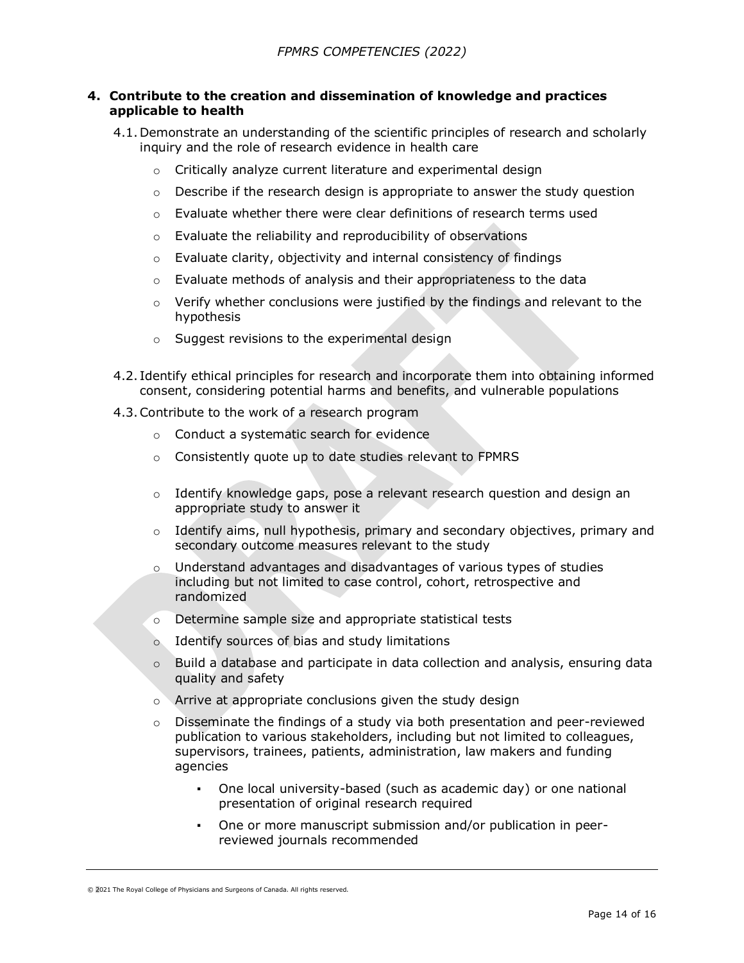### **4. Contribute to the creation and dissemination of knowledge and practices applicable to health**

- 4.1.Demonstrate an understanding of the scientific principles of research and scholarly inquiry and the role of research evidence in health care
	- o Critically analyze current literature and experimental design
	- $\circ$  Describe if the research design is appropriate to answer the study question
	- $\circ$  Evaluate whether there were clear definitions of research terms used
	- o Evaluate the reliability and reproducibility of observations
	- o Evaluate clarity, objectivity and internal consistency of findings
	- o Evaluate methods of analysis and their appropriateness to the data
	- o Verify whether conclusions were justified by the findings and relevant to the hypothesis
	- o Suggest revisions to the experimental design
- 4.2. Identify ethical principles for research and incorporate them into obtaining informed consent, considering potential harms and benefits, and vulnerable populations
- 4.3.Contribute to the work of a research program
	- o Conduct a systematic search for evidence
	- o Consistently quote up to date studies relevant to FPMRS
	- $\circ$  Identify knowledge gaps, pose a relevant research question and design an appropriate study to answer it
	- $\circ$  Identify aims, null hypothesis, primary and secondary objectives, primary and secondary outcome measures relevant to the study
	- o Understand advantages and disadvantages of various types of studies including but not limited to case control, cohort, retrospective and randomized
	- o Determine sample size and appropriate statistical tests
	- o Identify sources of bias and study limitations
	- $\circ$  Build a database and participate in data collection and analysis, ensuring data quality and safety
	- o Arrive at appropriate conclusions given the study design
	- $\circ$  Disseminate the findings of a study via both presentation and peer-reviewed publication to various stakeholders, including but not limited to colleagues, supervisors, trainees, patients, administration, law makers and funding agencies
		- One local university-based (such as academic day) or one national presentation of original research required
		- One or more manuscript submission and/or publication in peerreviewed journals recommended

<sup>© 2021</sup> The Royal College of Physicians and Surgeons of Canada. All rights reserved.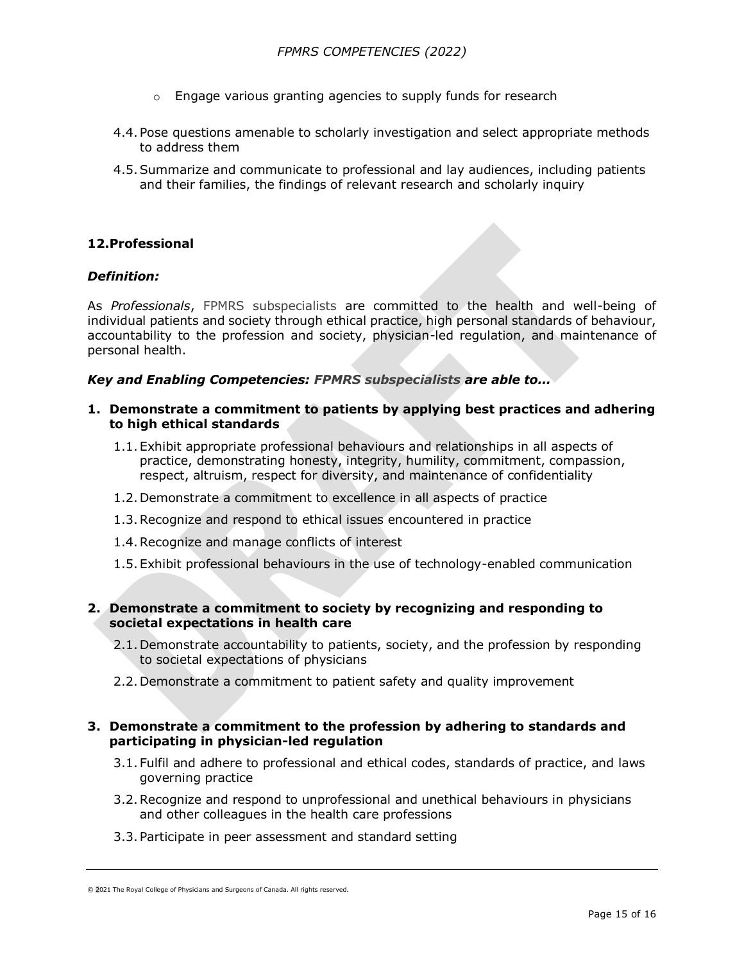- o Engage various granting agencies to supply funds for research
- 4.4.Pose questions amenable to scholarly investigation and select appropriate methods to address them
- 4.5.Summarize and communicate to professional and lay audiences, including patients and their families, the findings of relevant research and scholarly inquiry

# **12.Professional**

### *Definition:*

As *Professionals*, FPMRS subspecialists are committed to the health and well-being of individual patients and society through ethical practice, high personal standards of behaviour, accountability to the profession and society, physician-led regulation, and maintenance of personal health.

#### *Key and Enabling Competencies: FPMRS subspecialists are able to…*

- **1. Demonstrate a commitment to patients by applying best practices and adhering to high ethical standards**
	- 1.1.Exhibit appropriate professional behaviours and relationships in all aspects of practice, demonstrating honesty, integrity, humility, commitment, compassion, respect, altruism, respect for diversity, and maintenance of confidentiality
	- 1.2.Demonstrate a commitment to excellence in all aspects of practice
	- 1.3.Recognize and respond to ethical issues encountered in practice
	- 1.4.Recognize and manage conflicts of interest
	- 1.5.Exhibit professional behaviours in the use of technology-enabled communication

### **2. Demonstrate a commitment to society by recognizing and responding to societal expectations in health care**

- 2.1.Demonstrate accountability to patients, society, and the profession by responding to societal expectations of physicians
- 2.2.Demonstrate a commitment to patient safety and quality improvement

### **3. Demonstrate a commitment to the profession by adhering to standards and participating in physician-led regulation**

- 3.1.Fulfil and adhere to professional and ethical codes, standards of practice, and laws governing practice
- 3.2.Recognize and respond to unprofessional and unethical behaviours in physicians and other colleagues in the health care professions
- 3.3.Participate in peer assessment and standard setting

<sup>© 2021</sup> The Royal College of Physicians and Surgeons of Canada. All rights reserved.